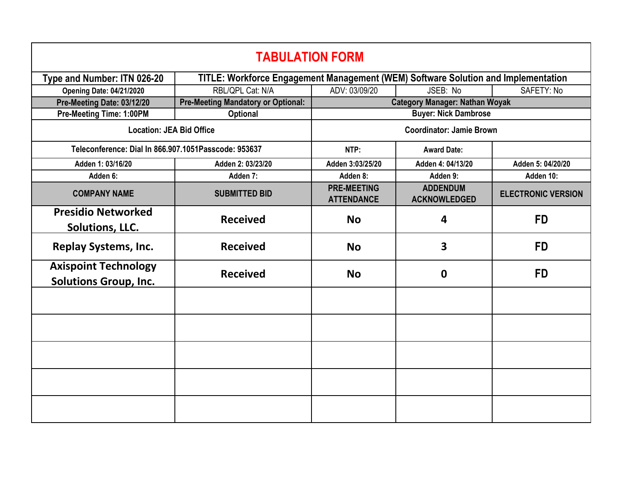| <b>TABULATION FORM</b>                                      |                                                      |                                                                                   |                                        |                           |  |  |  |
|-------------------------------------------------------------|------------------------------------------------------|-----------------------------------------------------------------------------------|----------------------------------------|---------------------------|--|--|--|
| Type and Number: ITN 026-20                                 |                                                      | TITLE: Workforce Engagement Management (WEM) Software Solution and Implementation |                                        |                           |  |  |  |
| <b>Opening Date: 04/21/2020</b>                             | RBL/QPL Cat: N/A                                     | ADV: 03/09/20                                                                     | JSEB: No                               | SAFETY: No                |  |  |  |
| Pre-Meeting Date: 03/12/20                                  | <b>Pre-Meeting Mandatory or Optional:</b>            | <b>Category Manager: Nathan Woyak</b>                                             |                                        |                           |  |  |  |
| Pre-Meeting Time: 1:00PM                                    | <b>Optional</b>                                      | <b>Buyer: Nick Dambrose</b>                                                       |                                        |                           |  |  |  |
| <b>Location: JEA Bid Office</b>                             |                                                      | <b>Coordinator: Jamie Brown</b>                                                   |                                        |                           |  |  |  |
|                                                             | Teleconference: Dial In 866.907.1051Passcode: 953637 |                                                                                   | <b>Award Date:</b>                     |                           |  |  |  |
| Adden 1: 03/16/20                                           | Adden 2: 03/23/20                                    | Adden 3:03/25/20                                                                  | Adden 4: 04/13/20                      | Adden 5: 04/20/20         |  |  |  |
| Adden 6:                                                    | Adden 7:                                             | Adden 8:                                                                          | Adden 9:                               | Adden 10:                 |  |  |  |
| <b>COMPANY NAME</b>                                         | <b>SUBMITTED BID</b>                                 | <b>PRE-MEETING</b><br><b>ATTENDANCE</b>                                           | <b>ADDENDUM</b><br><b>ACKNOWLEDGED</b> | <b>ELECTRONIC VERSION</b> |  |  |  |
| <b>Presidio Networked</b><br><b>Solutions, LLC.</b>         | <b>Received</b>                                      | <b>No</b>                                                                         | 4                                      | <b>FD</b>                 |  |  |  |
| <b>Replay Systems, Inc.</b>                                 | <b>Received</b>                                      | <b>No</b>                                                                         | 3                                      | <b>FD</b>                 |  |  |  |
| <b>Axispoint Technology</b><br><b>Solutions Group, Inc.</b> | <b>Received</b>                                      | <b>No</b>                                                                         | $\mathbf 0$                            | <b>FD</b>                 |  |  |  |
|                                                             |                                                      |                                                                                   |                                        |                           |  |  |  |
|                                                             |                                                      |                                                                                   |                                        |                           |  |  |  |
|                                                             |                                                      |                                                                                   |                                        |                           |  |  |  |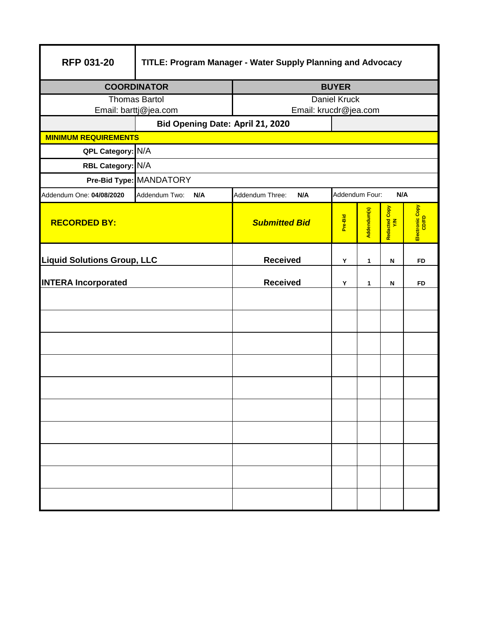| <b>RFP 031-20</b>                  | TITLE: Program Manager - Water Supply Planning and Advocacy |                                                 |         |             |                      |                          |  |  |
|------------------------------------|-------------------------------------------------------------|-------------------------------------------------|---------|-------------|----------------------|--------------------------|--|--|
| <b>COORDINATOR</b>                 |                                                             | <b>BUYER</b>                                    |         |             |                      |                          |  |  |
| <b>Thomas Bartol</b>               |                                                             | <b>Daniel Kruck</b>                             |         |             |                      |                          |  |  |
| Email: barttj@jea.com              | Email: krucdr@jea.com                                       |                                                 |         |             |                      |                          |  |  |
| <b>MINIMUM REQUIREMENTS</b>        |                                                             | Bid Opening Date: April 21, 2020                |         |             |                      |                          |  |  |
| QPL Category:                      | N/A                                                         |                                                 |         |             |                      |                          |  |  |
| RBL Category: N/A                  |                                                             |                                                 |         |             |                      |                          |  |  |
|                                    | Pre-Bid Type: MANDATORY                                     |                                                 |         |             |                      |                          |  |  |
| Addendum One: 04/08/2020           | Addendum Two:<br>N/A                                        | Addendum Four:<br>Addendum Three:<br>N/A<br>N/A |         |             |                      |                          |  |  |
| <b>RECORDED BY:</b>                |                                                             | <b>Submitted Bid</b>                            | Pre-Bid | Addendum(s) | Redacted Copy<br>Y/N | Electronic Copy<br>CD/FD |  |  |
| <b>Liquid Solutions Group, LLC</b> |                                                             | <b>Received</b>                                 | Y       | 1           | N                    | FD                       |  |  |
| <b>INTERA Incorporated</b>         |                                                             | <b>Received</b>                                 | Y       | 1           | N                    | <b>FD</b>                |  |  |
|                                    |                                                             |                                                 |         |             |                      |                          |  |  |
|                                    |                                                             |                                                 |         |             |                      |                          |  |  |
|                                    |                                                             |                                                 |         |             |                      |                          |  |  |
|                                    |                                                             |                                                 |         |             |                      |                          |  |  |
|                                    |                                                             |                                                 |         |             |                      |                          |  |  |
|                                    |                                                             |                                                 |         |             |                      |                          |  |  |
|                                    |                                                             |                                                 |         |             |                      |                          |  |  |
|                                    |                                                             |                                                 |         |             |                      |                          |  |  |
|                                    |                                                             |                                                 |         |             |                      |                          |  |  |
|                                    |                                                             |                                                 |         |             |                      |                          |  |  |